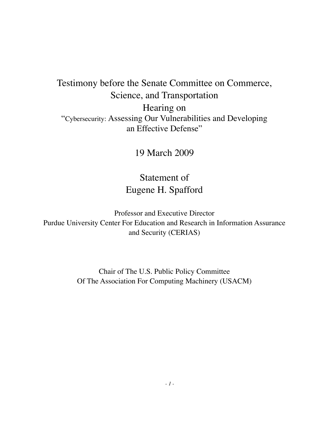## Testimony before the Senate Committee on Commerce, Science, and Transportation Hearing on "Cybersecurity: Assessing Our Vulnerabilities and Developing an Effective Defense"

19 March 2009

Statement of Eugene H. Spafford

Professor and Executive Director Purdue University Center For Education and Research in Information Assurance and Security (CERIAS)

> Chair of The U.S. Public Policy Committee Of The Association For Computing Machinery (USACM)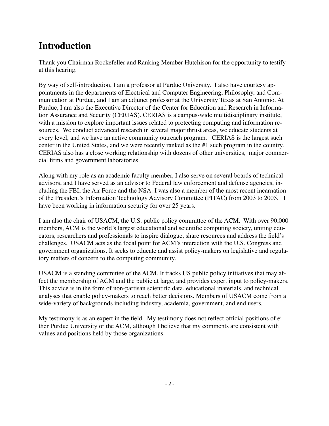# **Introduction**

Thank you Chairman Rockefeller and Ranking Member Hutchison for the opportunity to testify at this hearing.

By way of self-introduction, I am a professor at Purdue University. I also have courtesy appointments in the departments of Electrical and Computer Engineering, Philosophy, and Communication at Purdue, and I am an adjunct professor at the University Texas at San Antonio. At Purdue, I am also the Executive Director of the Center for Education and Research in Information Assurance and Security (CERIAS). CERIAS is a campus-wide multidisciplinary institute, with a mission to explore important issues related to protecting computing and information resources. We conduct advanced research in several major thrust areas, we educate students at every level, and we have an active community outreach program. CERIAS is the largest such center in the United States, and we were recently ranked as the #1 such program in the country. CERIAS also has a close working relationship with dozens of other universities, major commercial firms and government laboratories.

Along with my role as an academic faculty member, I also serve on several boards of technical advisors, and I have served as an advisor to Federal law enforcement and defense agencies, including the FBI, the Air Force and the NSA. I was also a member of the most recent incarnation of the President's Information Technology Advisory Committee (PITAC) from 2003 to 2005. I have been working in information security for over 25 years.

I am also the chair of USACM, the U.S. public policy committee of the ACM. With over 90,000 members, ACM is the world's largest educational and scientific computing society, uniting educators, researchers and professionals to inspire dialogue, share resources and address the field's challenges. USACM acts as the focal point for ACM's interaction with the U.S. Congress and government organizations. It seeks to educate and assist policy-makers on legislative and regulatory matters of concern to the computing community.

USACM is a standing committee of the ACM. It tracks US public policy initiatives that may affect the membership of ACM and the public at large, and provides expert input to policy-makers. This advice is in the form of non-partisan scientific data, educational materials, and technical analyses that enable policy-makers to reach better decisions. Members of USACM come from a wide-variety of backgrounds including industry, academia, government, and end users.

My testimony is as an expert in the field. My testimony does not reflect official positions of either Purdue University or the ACM, although I believe that my comments are consistent with values and positions held by those organizations.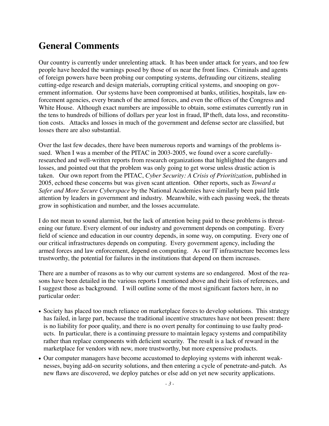### **General Comments**

Our country is currently under unrelenting attack. It has been under attack for years, and too few people have heeded the warnings posed by those of us near the front lines. Criminals and agents of foreign powers have been probing our computing systems, defrauding our citizens, stealing cutting-edge research and design materials, corrupting critical systems, and snooping on government information. Our systems have been compromised at banks, utilities, hospitals, law enforcement agencies, every branch of the armed forces, and even the offices of the Congress and White House. Although exact numbers are impossible to obtain, some estimates currently run in the tens to hundreds of billions of dollars per year lost in fraud, IP theft, data loss, and reconstitution costs. Attacks and losses in much of the government and defense sector are classified, but losses there are also substantial.

Over the last few decades, there have been numerous reports and warnings of the problems issued. When I was a member of the PITAC in 2003-2005, we found over a score carefullyresearched and well-written reports from research organizations that highlighted the dangers and losses, and pointed out that the problem was only going to get worse unless drastic action is taken. Our own report from the PITAC, *Cyber Security: A Crisis of Prioritization*, published in 2005, echoed these concerns but was given scant attention. Other reports, such as *Toward a Safer and More Secure Cyberspace* by the National Academies have similarly been paid little attention by leaders in government and industry. Meanwhile, with each passing week, the threats grow in sophistication and number, and the losses accumulate.

I do not mean to sound alarmist, but the lack of attention being paid to these problems is threatening our future. Every element of our industry and government depends on computing. Every field of science and education in our country depends, in some way, on computing. Every one of our critical infrastructures depends on computing. Every government agency, including the armed forces and law enforcement, depend on computing. As our IT infrastructure becomes less trustworthy, the potential for failures in the institutions that depend on them increases.

There are a number of reasons as to why our current systems are so endangered. Most of the reasons have been detailed in the various reports I mentioned above and their lists of references, and I suggest those as background. I will outline some of the most significant factors here, in no particular order:

- Society has placed too much reliance on marketplace forces to develop solutions. This strategy has failed, in large part, because the traditional incentive structures have not been present: there is no liability for poor quality, and there is no overt penalty for continuing to use faulty products. In particular, there is a continuing pressure to maintain legacy systems and compatibility rather than replace components with deficient security. The result is a lack of reward in the marketplace for vendors with new, more trustworthy, but more expensive products.
- Our computer managers have become accustomed to deploying systems with inherent weaknesses, buying add-on security solutions, and then entering a cycle of penetrate-and-patch. As new flaws are discovered, we deploy patches or else add on yet new security applications.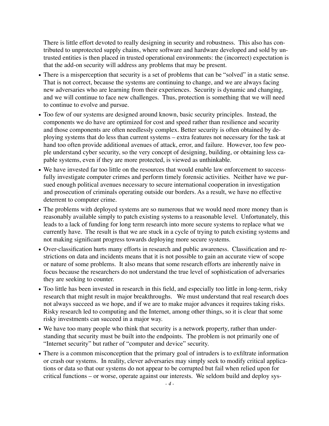There is little effort devoted to really designing in security and robustness. This also has contributed to unprotected supply chains, where software and hardware developed and sold by untrusted entities is then placed in trusted operational environments: the (incorrect) expectation is that the add-on security will address any problems that may be present.

- There is a misperception that security is a set of problems that can be "solved" in a static sense. That is not correct, because the systems are continuing to change, and we are always facing new adversaries who are learning from their experiences. Security is dynamic and changing, and we will continue to face new challenges. Thus, protection is something that we will need to continue to evolve and pursue.
- Too few of our systems are designed around known, basic security principles. Instead, the components we do have are optimized for cost and speed rather than resilience and security and those components are often needlessly complex. Better security is often obtained by deploying systems that do less than current systems – extra features not necessary for the task at hand too often provide additional avenues of attack, error, and failure. However, too few people understand cyber security, so the very concept of designing, building, or obtaining less capable systems, even if they are more protected, is viewed as unthinkable.
- We have invested far too little on the resources that would enable law enforcement to successfully investigate computer crimes and perform timely forensic activities. Neither have we pursued enough political avenues necessary to secure international cooperation in investigation and prosecution of criminals operating outside our borders. As a result, we have no effective deterrent to computer crime.
- The problems with deployed systems are so numerous that we would need more money than is reasonably available simply to patch existing systems to a reasonable level. Unfortunately, this leads to a lack of funding for long term research into more secure systems to replace what we currently have. The result is that we are stuck in a cycle of trying to patch existing systems and not making significant progress towards deploying more secure systems.
- Over-classification hurts many efforts in research and public awareness. Classification and restrictions on data and incidents means that it is not possible to gain an accurate view of scope or nature of some problems. It also means that some research efforts are inherently naive in focus because the researchers do not understand the true level of sophistication of adversaries they are seeking to counter.
- Too little has been invested in research in this field, and especially too little in long-term, risky research that might result in major breakthroughs. We must understand that real research does not always succeed as we hope, and if we are to make major advances it requires taking risks. Risky research led to computing and the Internet, among other things, so it is clear that some risky investments can succeed in a major way.
- We have too many people who think that security is a network property, rather than understanding that security must be built into the endpoints. The problem is not primarily one of "Internet security" but rather of "computer and device" security.
- There is a common misconception that the primary goal of intruders is to exfiltrate information or crash our systems. In reality, clever adversaries may simply seek to modify critical applications or data so that our systems do not appear to be corrupted but fail when relied upon for critical functions – or worse, operate against our interests. We seldom build and deploy sys-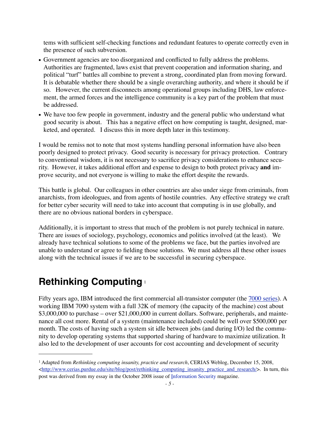tems with sufficient self-checking functions and redundant features to operate correctly even in the presence of such subversion.

- Government agencies are too disorganized and conflicted to fully address the problems. Authorities are fragmented, laws exist that prevent cooperation and information sharing, and political "turf" battles all combine to prevent a strong, coordinated plan from moving forward. It is debatable whether there should be a single overarching authority, and where it should be if so. However, the current disconnects among operational groups including DHS, law enforcement, the armed forces and the intelligence community is a key part of the problem that must be addressed.
- We have too few people in government, industry and the general public who understand what good security is about. This has a negative effect on how computing is taught, designed, marketed, and operated. I discuss this in more depth later in this testimony.

I would be remiss not to note that most systems handling personal information have also been poorly designed to protect privacy. Good security is necessary for privacy protection. Contrary to conventional wisdom, it is not necessary to sacrifice privacy considerations to enhance security. However, it takes additional effort and expense to design to both protect privacy **and** improve security, and not everyone is willing to make the effort despite the rewards.

This battle is global. Our colleagues in other countries are also under siege from criminals, from anarchists, from ideologues, and from agents of hostile countries. Any effective strategy we craft for better cyber security will need to take into account that computing is in use globally, and there are no obvious national borders in cyberspace.

Additionally, it is important to stress that much of the problem is not purely technical in nature. There are issues of sociology, psychology, economics and politics involved (at the least). We already have technical solutions to some of the problems we face, but the parties involved are unable to understand or agree to fielding those solutions. We must address all these other issues along with the technical issues if we are to be successful in securing cyberspace.

## **Rethinking Computing** [1](#page-4-0)

Fifty years ago, IBM introduced the first commercial all-transistor computer (the [7000 series\)](http://en.wikipedia.org/wiki/IBM_7000). A working IBM 7090 system with a full 32K of memory (the capacity of the machine) cost about \$3,000,000 to purchase – over \$21,000,000 in current dollars. Software, peripherals, and maintenance all cost more. Rental of a system (maintenance included) could be well over \$500,000 per month. The costs of having such a system sit idle between jobs (and during I/O) led the community to develop operating systems that supported sharing of hardware to maximize utilization. It also led to the development of user accounts for cost accounting and development of security

<span id="page-4-0"></span><sup>1</sup> Adapted from *Rethinking computing insanity, practice and research*, CERIAS Weblog, December 15, 2008,  $\langle \frac{\text{http://www.cerias.purdue.edu/site/blog/post/rethinking computing insunity practice} {\text{and research}} \rangle$ . In turn, this post was derived from my essay in the October 2008 issue of [Information Security](http://searchsecurity.techtarget.com/) magazine.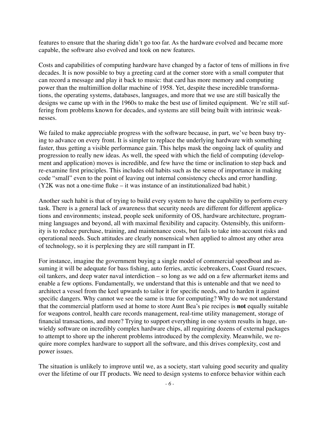features to ensure that the sharing didn't go too far. As the hardware evolved and became more capable, the software also evolved and took on new features.

Costs and capabilities of computing hardware have changed by a factor of tens of millions in five decades. It is now possible to buy a greeting card at the corner store with a small computer that can record a message and play it back to music: that card has more memory and computing power than the multimillion dollar machine of 1958. Yet, despite these incredible transformations, the operating systems, databases, languages, and more that we use are still basically the designs we came up with in the 1960s to make the best use of limited equipment. We're still suffering from problems known for decades, and systems are still being built with intrinsic weaknesses.

We failed to make appreciable progress with the software because, in part, we've been busy trying to advance on every front. It is simpler to replace the underlying hardware with something faster, thus getting a visible performance gain. This helps mask the ongoing lack of quality and progression to really new ideas. As well, the speed with which the field of computing (development and application) moves is incredible, and few have the time or inclination to step back and re-examine first principles. This includes old habits such as the sense of importance in making code "small" even to the point of leaving out internal consistency checks and error handling. (Y2K was not a one-time fluke – it was instance of an institutionalized bad habit.)

Another such habit is that of trying to build every system to have the capability to perform every task. There is a general lack of awareness that security needs are different for different applications and environments; instead, people seek uniformity of OS, hardware architecture, programming languages and beyond, all with maximal flexibility and capacity. Ostensibly, this uniformity is to reduce purchase, training, and maintenance costs, but fails to take into account risks and operational needs. Such attitudes are clearly nonsensical when applied to almost any other area of technology, so it is perplexing they are still rampant in IT.

For instance, imagine the government buying a single model of commercial speedboat and assuming it will be adequate for bass fishing, auto ferries, arctic icebreakers, Coast Guard rescues, oil tankers, and deep water naval interdiction – so long as we add on a few aftermarket items and enable a few options. Fundamentally, we understand that this is untenable and that we need to architect a vessel from the keel upwards to tailor it for specific needs, and to harden it against specific dangers. Why cannot we see the same is true for computing? Why do we not understand that the commercial platform used at home to store Aunt Bea's pie recipes is **not** equally suitable for weapons control, health care records management, real-time utility management, storage of financial transactions, and more? Trying to support everything in one system results in huge, unwieldy software on incredibly complex hardware chips, all requiring dozens of external packages to attempt to shore up the inherent problems introduced by the complexity. Meanwhile, we require more complex hardware to support all the software, and this drives complexity, cost and power issues.

The situation is unlikely to improve until we, as a society, start valuing good security and quality over the lifetime of our IT products. We need to design systems to enforce behavior within each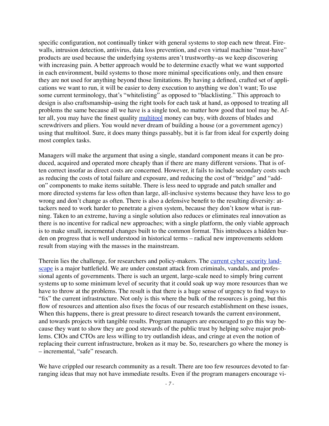specific configuration, not continually tinker with general systems to stop each new threat. Firewalls, intrusion detection, antivirus, data loss prevention, and even virtual machine "must-have" products are used because the underlying systems aren't trustworthy–as we keep discovering with increasing pain. A better approach would be to determine exactly what we want supported in each environment, build systems to those more minimal specifications only, and then ensure they are not used for anything beyond those limitations. By having a defined, crafted set of applications we want to run, it will be easier to deny execution to anything we don't want; To use some current terminology, that's "whitelisting" as opposed to "blacklisting." This approach to design is also craftsmanship–using the right tools for each task at hand, as opposed to treating all problems the same because all we have is a single tool, no matter how good that tool may be. After all, you may have the finest quality [multitool](http://www.swiss-army-knife-wenger.co.uk/wenger_giant_swiss_army_knife_2.jpg) money can buy, with dozens of blades and screwdrivers and pliers. You would never dream of building a house (or a government agency) using that multitool. Sure, it does many things passably, but it is far from ideal for expertly doing most complex tasks.

Managers will make the argument that using a single, standard component means it can be produced, acquired and operated more cheaply than if there are many different versions. That is often correct insofar as direct costs are concerned. However, it fails to include secondary costs such as reducing the costs of total failure and exposure, and reducing the cost of "bridge" and "addon" components to make items suitable. There is less need to upgrade and patch smaller and more directed systems far less often than large, all-inclusive systems because they have less to go wrong and don't change as often. There is also a defensive benefit to the resulting diversity: attackers need to work harder to penetrate a given system, because they don't know what is running. Taken to an extreme, having a single solution also reduces or eliminates real innovation as there is no incentive for radical new approaches; with a single platform, the only viable approach is to make small, incremental changes built to the common format. This introduces a hidden burden on progress that is well understood in historical terms – radical new improvements seldom result from staying with the masses in the mainstream.

Therein lies the challenge, for researchers and policy-makers. The [current cyber security land](http://blog.spaf.us/)[scape](http://blog.spaf.us/) is a major battlefield. We are under constant attack from criminals, vandals, and professional agents of governments. There is such an urgent, large-scale need to simply bring current systems up to some minimum level of security that it could soak up way more resources than we have to throw at the problems. The result is that there is a huge sense of urgency to find ways to "fix" the current infrastructure. Not only is this where the bulk of the resources is going, but this flow of resources and attention also fixes the focus of our research establishment on these issues, When this happens, there is great pressure to direct research towards the current environment, and towards projects with tangible results. Program managers are encouraged to go this way because they want to show they are good stewards of the public trust by helping solve major problems. CIOs and CTOs are less willing to try outlandish ideas, and cringe at even the notion of replacing their current infrastructure, broken as it may be. So, researchers go where the money is – incremental, "safe" research.

We have crippled our research community as a result. There are too few resources devoted to farranging ideas that may not have immediate results. Even if the program managers encourage vi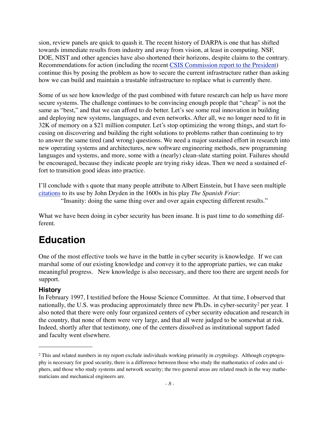sion, review panels are quick to quash it. The recent history of DARPA is one that has shifted towards immediate results from industry and away from vision, at least in computing. NSF, DOE, NIST and other agencies have also shortened their horizons, despite claims to the contrary. Recommendations for action (including the recent [CSIS Commission report to the President](http://www.csis.org/component/option,com_csis_pubs/task,view/id,5157/type,1)) continue this by posing the problem as how to secure the current infrastructure rather than asking how we can build and maintain a trustable infrastructure to replace what is currently there.

Some of us see how knowledge of the past combined with future research can help us have more secure systems. The challenge continues to be convincing enough people that "cheap" is not the same as "best," and that we can afford to do better. Let's see some real innovation in building and deploying new systems, languages, and even networks. After all, we no longer need to fit in 32K of memory on a \$21 million computer. Let's stop optimizing the wrong things, and start focusing on discovering and building the right solutions to problems rather than continuing to try to answer the same tired (and wrong) questions. We need a major sustained effort in research into new operating systems and architectures, new software engineering methods, new programming languages and systems, and more, some with a (nearly) clean-slate starting point. Failures should be encouraged, because they indicate people are trying risky ideas. Then we need a sustained effort to transition good ideas into practice.

I'll conclude with s quote that many people attribute to Albert Einstein, but I have seen multiple [citations](http://www.worldofquotes.com/topic/insanity/index.html) to its use by John Dryden in the 1600s in his play *The Spanish Friar*: "Insanity: doing the same thing over and over again expecting different results."

What we have been doing in cyber security has been insane. It is past time to do something different.

## **Education**

One of the most effective tools we have in the battle in cyber security is knowledge. If we can marshal some of our existing knowledge and convey it to the appropriate parties, we can make meaningful progress. New knowledge is also necessary, and there too there are urgent needs for support.

### **History**

In February 1997, I testified before the House Science Committee. At that time, I observed that nationally, the U.S. was producing approximately three new Ph.Ds. in cyber-security<sup>2</sup> per year. I also noted that there were only four organized centers of cyber security education and research in the country, that none of them were very large, and that all were judged to be somewhat at risk. Indeed, shortly after that testimony, one of the centers dissolved as institutional support faded and faculty went elsewhere.

<span id="page-7-0"></span><sup>2</sup> This and related numbers in my report exclude individuals working primarily in cryptology. Although cryptography is necessary for good security, there is a difference between those who study the mathematics of codes and ciphers, and those who study systems and network security; the two general areas are related much in the way mathematicians and mechanical engineers are.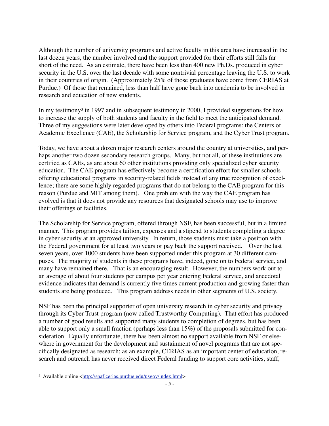Although the number of university programs and active faculty in this area have increased in the last dozen years, the number involved and the support provided for their efforts still falls far short of the need. As an estimate, there have been less than 400 new Ph.Ds. produced in cyber security in the U.S. over the last decade with some nontrivial percentage leaving the U.S. to work in their countries of origin. (Approximately 25% of those graduates have come from CERIAS at Purdue.) Of those that remained, less than half have gone back into academia to be involved in research and education of new students.

In my testimony[3](#page-8-0) in 1997 and in subsequent testimony in 2000, I provided suggestions for how to increase the supply of both students and faculty in the field to meet the anticipated demand. Three of my suggestions were later developed by others into Federal programs: the Centers of Academic Excellence (CAE), the Scholarship for Service program, and the Cyber Trust program.

Today, we have about a dozen major research centers around the country at universities, and perhaps another two dozen secondary research groups. Many, but not all, of these institutions are certified as CAEs, as are about 60 other institutions providing only specialized cyber security education. The CAE program has effectively become a certification effort for smaller schools offering educational programs in security-related fields instead of any true recognition of excellence; there are some highly regarded programs that do not belong to the CAE program for this reason (Purdue and MIT among them). One problem with the way the CAE program has evolved is that it does not provide any resources that designated schools may use to improve their offerings or facilities.

The Scholarship for Service program, offered through NSF, has been successful, but in a limited manner. This program provides tuition, expenses and a stipend to students completing a degree in cyber security at an approved university. In return, those students must take a position with the Federal government for at least two years or pay back the support received. Over the last seven years, over 1000 students have been supported under this program at 30 different campuses. The majority of students in these programs have, indeed, gone on to Federal service, and many have remained there. That is an encouraging result. However, the numbers work out to an average of about four students per campus per year entering Federal service, and anecdotal evidence indicates that demand is currently five times current production and growing faster than students are being produced. This program address needs in other segments of U.S. society.

NSF has been the principal supporter of open university research in cyber security and privacy through its Cyber Trust program (now called Trustworthy Computing). That effort has produced a number of good results and supported many students to completion of degrees, but has been able to support only a small fraction (perhaps less than 15%) of the proposals submitted for consideration. Equally unfortunate, there has been almost no support available from NSF or elsewhere in government for the development and sustainment of novel programs that are not specifically designated as research; as an example, CERIAS as an important center of education, research and outreach has never received direct Federal funding to support core activities, staff,

<span id="page-8-0"></span><sup>&</sup>lt;sup>3</sup> Available online <[http://spaf.cerias.purdue.edu/usgov/index.html>](http://homes.cerias.purdue.edu/%7Espaf/usgov/index.html)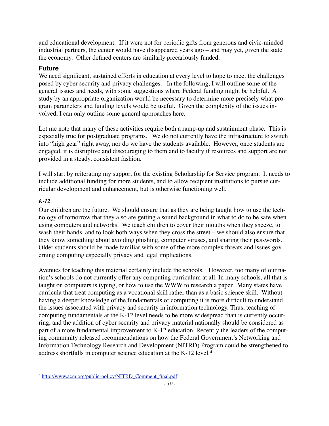and educational development. If it were not for periodic gifts from generous and civic-minded industrial partners, the center would have disappeared years ago – and may yet, given the state the economy. Other defined centers are similarly precariously funded.

### **Future**

We need significant, sustained efforts in education at every level to hope to meet the challenges posed by cyber security and privacy challenges. In the following, I will outline some of the general issues and needs, with some suggestions where Federal funding might be helpful. A study by an appropriate organization would be necessary to determine more precisely what program parameters and funding levels would be useful. Given the complexity of the issues involved, I can only outline some general approaches here.

Let me note that many of these activities require both a ramp-up and sustainment phase. This is especially true for postgraduate programs. We do not currently have the infrastructure to switch into "high gear" right away, nor do we have the students available. However, once students are engaged, it is disruptive and discouraging to them and to faculty if resources and support are not provided in a steady, consistent fashion.

I will start by reiterating my support for the existing Scholarship for Service program. It needs to include additional funding for more students, and to allow recipient institutions to pursue curricular development and enhancement, but is otherwise functioning well.

### *K-12*

Our children are the future. We should ensure that as they are being taught how to use the technology of tomorrow that they also are getting a sound background in what to do to be safe when using computers and networks. We teach children to cover their mouths when they sneeze, to wash their hands, and to look both ways when they cross the street – we should also ensure that they know something about avoiding phishing, computer viruses, and sharing their passwords. Older students should be made familiar with some of the more complex threats and issues governing computing especially privacy and legal implications.

Avenues for teaching this material certainly include the schools. However, too many of our nation's schools do not currently offer any computing curriculum at all. In many schools, all that is taught on computers is typing, or how to use the WWW to research a paper. Many states have curricula that treat computing as a vocational skill rather than as a basic science skill. Without having a deeper knowledge of the fundamentals of computing it is more difficult to understand the issues associated with privacy and security in information technology. Thus, teaching of computing fundamentals at the K-12 level needs to be more widespread than is currently occurring, and the addition of cyber security and privacy material nationally should be considered as part of a more fundamental improvement to K-12 education. Recently the leaders of the computing community released recommendations on how the Federal Government's Networking and Information Technology Research and Development (NITRD) Program could be strengthened to address shortfalls in computer science education at the K-12 level.[4](#page-9-0)

<span id="page-9-0"></span><sup>4</sup> [http://www.acm.org/public-policy/NITRD\\_Comment\\_final.pdf](http://www.acm.org/public-policy/NITRD_Comment_final.pdf)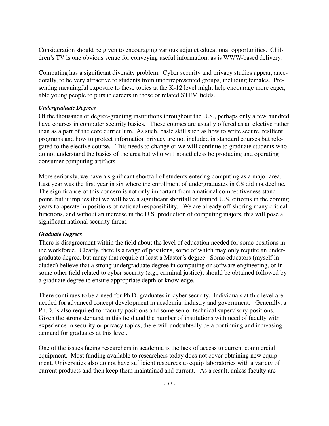Consideration should be given to encouraging various adjunct educational opportunities. Children's TV is one obvious venue for conveying useful information, as is WWW-based delivery.

Computing has a significant diversity problem. Cyber security and privacy studies appear, anecdotally, to be very attractive to students from underrepresented groups, including females. Presenting meaningful exposure to these topics at the K-12 level might help encourage more eager, able young people to pursue careers in those or related STEM fields.

### *Undergraduate Degrees*

Of the thousands of degree-granting institutions throughout the U.S., perhaps only a few hundred have courses in computer security basics. These courses are usually offered as an elective rather than as a part of the core curriculum. As such, basic skill such as how to write secure, resilient programs and how to protect information privacy are not included in standard courses but relegated to the elective course. This needs to change or we will continue to graduate students who do not understand the basics of the area but who will nonetheless be producing and operating consumer computing artifacts.

More seriously, we have a significant shortfall of students entering computing as a major area. Last year was the first year in six where the enrollment of undergraduates in CS did not decline. The significance of this concern is not only important from a national competitiveness standpoint, but it implies that we will have a significant shortfall of trained U.S. citizens in the coming years to operate in positions of national responsibility. We are already off-shoring many critical functions, and without an increase in the U.S. production of computing majors, this will pose a significant national security threat.

### *Graduate Degrees*

There is disagreement within the field about the level of education needed for some positions in the workforce. Clearly, there is a range of positions, some of which may only require an undergraduate degree, but many that require at least a Master's degree. Some educators (myself included) believe that a strong undergraduate degree in computing or software engineering, or in some other field related to cyber security (e.g., criminal justice), should be obtained followed by a graduate degree to ensure appropriate depth of knowledge.

There continues to be a need for Ph.D. graduates in cyber security. Individuals at this level are needed for advanced concept development in academia, industry and government. Generally, a Ph.D. is also required for faculty positions and some senior technical supervisory positions. Given the strong demand in this field and the number of institutions with need of faculty with experience in security or privacy topics, there will undoubtedly be a continuing and increasing demand for graduates at this level.

One of the issues facing researchers in academia is the lack of access to current commercial equipment. Most funding available to researchers today does not cover obtaining new equipment. Universities also do not have sufficient resources to equip laboratories with a variety of current products and then keep them maintained and current. As a result, unless faculty are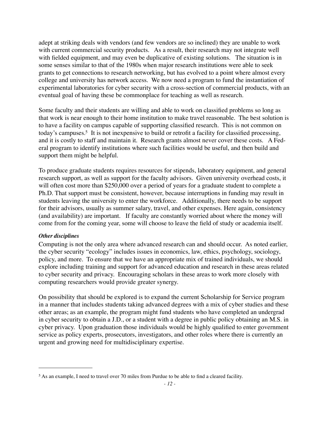adept at striking deals with vendors (and few vendors are so inclined) they are unable to work with current commercial security products. As a result, their research may not integrate well with fielded equipment, and may even be duplicative of existing solutions. The situation is in some senses similar to that of the 1980s when major research institutions were able to seek grants to get connections to research networking, but has evolved to a point where almost every college and university has network access. We now need a program to fund the instantiation of experimental laboratories for cyber security with a cross-section of commercial products, with an eventual goal of having these be commonplace for teaching as well as research.

Some faculty and their students are willing and able to work on classified problems so long as that work is near enough to their home institution to make travel reasonable. The best solution is to have a facility on campus capable of supporting classified research. This is not common on today's campuses[.5](#page-11-0) It is not inexpensive to build or retrofit a facility for classified processing, and it is costly to staff and maintain it. Research grants almost never cover these costs. A Federal program to identify institutions where such facilities would be useful, and then build and support them might be helpful.

To produce graduate students requires resources for stipends, laboratory equipment, and general research support, as well as support for the faculty advisors. Given university overhead costs, it will often cost more than \$250,000 over a period of years for a graduate student to complete a Ph.D. That support must be consistent, however, because interruptions in funding may result in students leaving the university to enter the workforce. Additionally, there needs to be support for their advisors, usually as summer salary, travel, and other expenses. Here again, consistency (and availability) are important. If faculty are constantly worried about where the money will come from for the coming year, some will choose to leave the field of study or academia itself.

#### *Other disciplines*

Computing is not the only area where advanced research can and should occur. As noted earlier, the cyber security "ecology" includes issues in economics, law, ethics, psychology, sociology, policy, and more. To ensure that we have an appropriate mix of trained individuals, we should explore including training and support for advanced education and research in these areas related to cyber security and privacy. Encouraging scholars in these areas to work more closely with computing researchers would provide greater synergy.

On possibility that should be explored is to expand the current Scholarship for Service program in a manner that includes students taking advanced degrees with a mix of cyber studies and these other areas; as an example, the program might fund students who have completed an undergrad in cyber security to obtain a J.D., or a student with a degree in public policy obtaining an M.S. in cyber privacy. Upon graduation those individuals would be highly qualified to enter government service as policy experts, prosecutors, investigators, and other roles where there is currently an urgent and growing need for multidisciplinary expertise.

<span id="page-11-0"></span><sup>5</sup> As an example, I need to travel over 70 miles from Purdue to be able to find a cleared facility.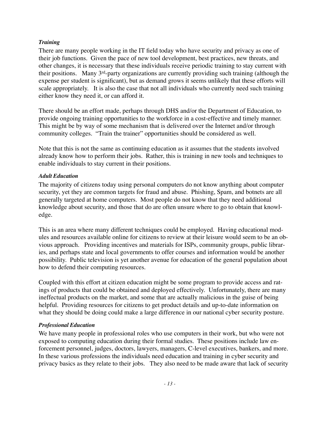#### *Training*

There are many people working in the IT field today who have security and privacy as one of their job functions. Given the pace of new tool development, best practices, new threats, and other changes, it is necessary that these individuals receive periodic training to stay current with their positions. Many 3rd-party organizations are currently providing such training (although the expense per student is significant), but as demand grows it seems unlikely that these efforts will scale appropriately. It is also the case that not all individuals who currently need such training either know they need it, or can afford it.

There should be an effort made, perhaps through DHS and/or the Department of Education, to provide ongoing training opportunities to the workforce in a cost-effective and timely manner. This might be by way of some mechanism that is delivered over the Internet and/or through community colleges. "Train the trainer" opportunities should be considered as well.

Note that this is not the same as continuing education as it assumes that the students involved already know how to perform their jobs. Rather, this is training in new tools and techniques to enable individuals to stay current in their positions.

### *Adult Education*

The majority of citizens today using personal computers do not know anything about computer security, yet they are common targets for fraud and abuse. Phishing, Spam, and botnets are all generally targeted at home computers. Most people do not know that they need additional knowledge about security, and those that do are often unsure where to go to obtain that knowledge.

This is an area where many different techniques could be employed. Having educational modules and resources available online for citizens to review at their leisure would seem to be an obvious approach. Providing incentives and materials for ISPs, community groups, public libraries, and perhaps state and local governments to offer courses and information would be another possibility. Public television is yet another avenue for education of the general population about how to defend their computing resources.

Coupled with this effort at citizen education might be some program to provide access and ratings of products that could be obtained and deployed effectively. Unfortunately, there are many ineffectual products on the market, and some that are actually malicious in the guise of being helpful. Providing resources for citizens to get product details and up-to-date information on what they should be doing could make a large difference in our national cyber security posture.

#### *Professional Education*

We have many people in professional roles who use computers in their work, but who were not exposed to computing education during their formal studies. These positions include law enforcement personnel, judges, doctors, lawyers, managers, C-level executives, bankers, and more. In these various professions the individuals need education and training in cyber security and privacy basics as they relate to their jobs. They also need to be made aware that lack of security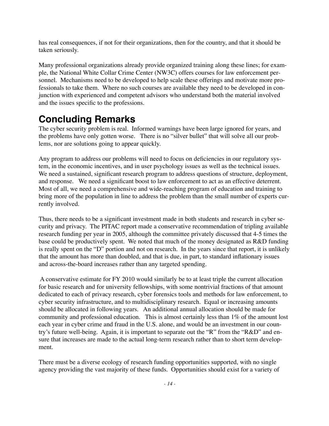has real consequences, if not for their organizations, then for the country, and that it should be taken seriously.

Many professional organizations already provide organized training along these lines; for example, the National White Collar Crime Center (NW3C) offers courses for law enforcement personnel. Mechanisms need to be developed to help scale these offerings and motivate more professionals to take them. Where no such courses are available they need to be developed in conjunction with experienced and competent advisors who understand both the material involved and the issues specific to the professions.

## **Concluding Remarks**

The cyber security problem is real. Informed warnings have been large ignored for years, and the problems have only gotten worse. There is no "silver bullet" that will solve all our problems, nor are solutions going to appear quickly.

Any program to address our problems will need to focus on deficiencies in our regulatory system, in the economic incentives, and in user psychology issues as well as the technical issues. We need a sustained, significant research program to address questions of structure, deployment, and response. We need a significant boost to law enforcement to act as an effective deterrent. Most of all, we need a comprehensive and wide-reaching program of education and training to bring more of the population in line to address the problem than the small number of experts currently involved.

Thus, there needs to be a significant investment made in both students and research in cyber security and privacy. The PITAC report made a conservative recommendation of tripling available research funding per year in 2005, although the committee privately discussed that 4-5 times the base could be productively spent. We noted that much of the money designated as R&D funding is really spent on the "D" portion and not on research. In the years since that report, it is unlikely that the amount has more than doubled, and that is due, in part, to standard inflationary issues and across-the-board increases rather than any targeted spending.

 A conservative estimate for FY 2010 would similarly be to at least triple the current allocation for basic research and for university fellowships, with some nontrivial fractions of that amount dedicated to each of privacy research, cyber forensics tools and methods for law enforcement, to cyber security infrastructure, and to multidisciplinary research. Equal or increasing amounts should be allocated in following years. An additional annual allocation should be made for community and professional education. This is almost certainly less than 1% of the amount lost each year in cyber crime and fraud in the U.S. alone, and would be an investment in our country's future well-being. Again, it is important to separate out the "R" from the "R&D" and ensure that increases are made to the actual long-term research rather than to short term development.

There must be a diverse ecology of research funding opportunities supported, with no single agency providing the vast majority of these funds. Opportunities should exist for a variety of